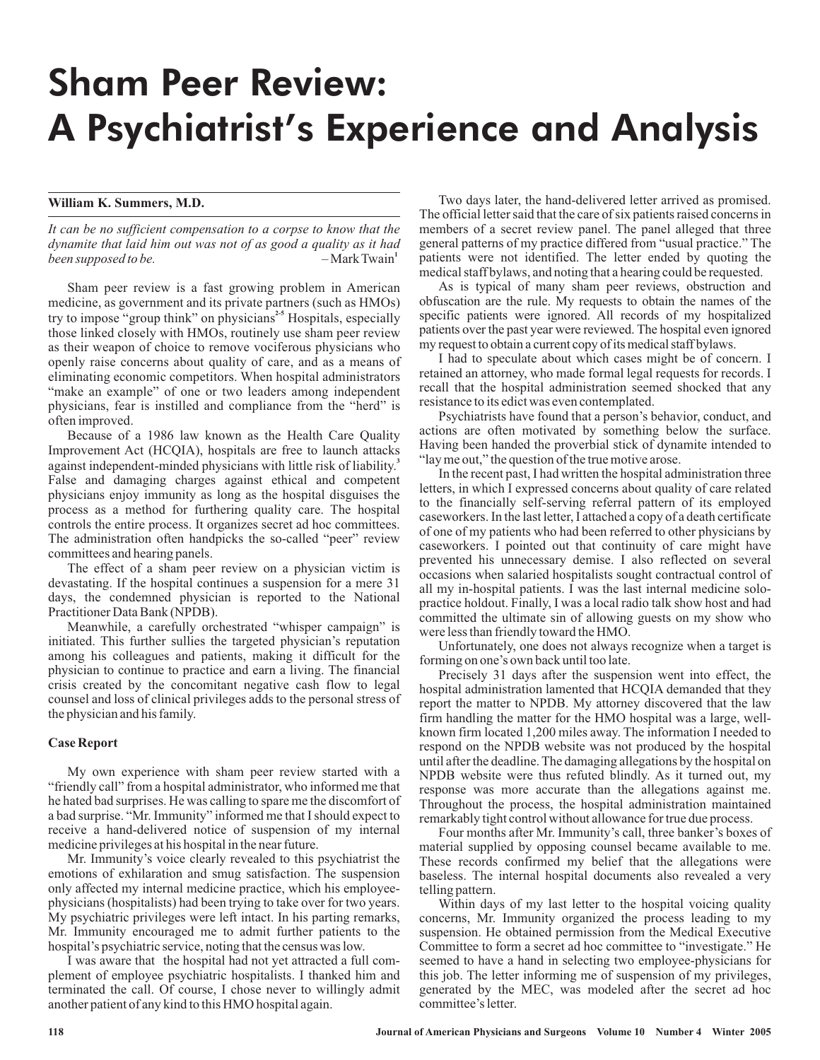# Sham Peer Review: A Psychiatrist's Experience and Analysis

## **William K. Summers, M.D.**

*It can be no sufficient compensation to a corpse to know that the dynamite that laid him out was not of as good a quality as it had been supposed to be.*  $-Mark Twain<sup>1</sup>$ 

Sham peer review is a fast growing problem in American medicine, as government and its private partners (such as HMOs) try to impose "group think" on physicians<sup>2-5</sup> Hospitals, especially those linked closely with HMOs, routinely use sham peer review as their weapon of choice to remove vociferous physicians who openly raise concerns about quality of care, and as a means of eliminating economic competitors. When hospital administrators "make an example" of one or two leaders among independent physicians, fear is instilled and compliance from the "herd" is often improved.

Because of a 1986 law known as the Health Care Quality Improvement Act (HCQIA), hospitals are free to launch attacks against independent-minded physicians with little risk of liability. **3** False and damaging charges against ethical and competent physicians enjoy immunity as long as the hospital disguises the process as a method for furthering quality care. The hospital controls the entire process. It organizes secret ad hoc committees. The administration often handpicks the so-called "peer" review committees and hearing panels.

The effect of a sham peer review on a physician victim is devastating. If the hospital continues a suspension for a mere 31 days, the condemned physician is reported to the National Practitioner Data Bank (NPDB).

Meanwhile, a carefully orchestrated "whisper campaign" is initiated. This further sullies the targeted physician's reputation among his colleagues and patients, making it difficult for the physician to continue to practice and earn a living. The financial crisis created by the concomitant negative cash flow to legal counsel and loss of clinical privileges adds to the personal stress of the physician and his family.

### **Case Report**

My own experience with sham peer review started with a "friendly call" from a hospital administrator, who informed me that he hated bad surprises. He was calling to spare me the discomfort of a bad surprise. "Mr. Immunity" informed me that I should expect to receive a hand-delivered notice of suspension of my internal medicine privileges at his hospital in the near future.

Mr. Immunity's voice clearly revealed to this psychiatrist the emotions of exhilaration and smug satisfaction. The suspension only affected my internal medicine practice, which his employeephysicians (hospitalists) had been trying to take over for two years. My psychiatric privileges were left intact. In his parting remarks, Mr. Immunity encouraged me to admit further patients to the hospital's psychiatric service, noting that the census was low.

I was aware that the hospital had not yet attracted a full complement of employee psychiatric hospitalists. I thanked him and terminated the call. Of course, I chose never to willingly admit another patient of any kind to this HMO hospital again.

Two days later, the hand-delivered letter arrived as promised. The official letter said that the care of six patients raised concerns in members of a secret review panel. The panel alleged that three general patterns of my practice differed from "usual practice." The patients were not identified. The letter ended by quoting the medical staff bylaws, and noting that a hearing could be requested.

As is typical of many sham peer reviews, obstruction and obfuscation are the rule. My requests to obtain the names of the specific patients were ignored. All records of my hospitalized patients over the past year were reviewed. The hospital even ignored my request to obtain a current copy of its medical staff bylaws.

I had to speculate about which cases might be of concern. I retained an attorney, who made formal legal requests for records. I recall that the hospital administration seemed shocked that any resistance to its edict was even contemplated.

Psychiatrists have found that a person's behavior, conduct, and actions are often motivated by something below the surface. Having been handed the proverbial stick of dynamite intended to "lay me out," the question of the true motive arose.

In the recent past, I had written the hospital administration three letters, in which I expressed concerns about quality of care related to the financially self-serving referral pattern of its employed caseworkers. In the last letter, I attached a copy of a death certificate of one of my patients who had been referred to other physicians by caseworkers. I pointed out that continuity of care might have prevented his unnecessary demise. I also reflected on several occasions when salaried hospitalists sought contractual control of all my in-hospital patients. I was the last internal medicine solopractice holdout. Finally, I was a local radio talk show host and had committed the ultimate sin of allowing guests on my show who were less than friendly toward the HMO.

Unfortunately, one does not always recognize when a target is forming on one's own back until too late.

Precisely 31 days after the suspension went into effect, the hospital administration lamented that HCQIA demanded that they report the matter to NPDB. My attorney discovered that the law firm handling the matter for the HMO hospital was a large, wellknown firm located 1,200 miles away. The information I needed to respond on the NPDB website was not produced by the hospital until after the deadline. The damaging allegations by the hospital on NPDB website were thus refuted blindly. As it turned out, my response was more accurate than the allegations against me. Throughout the process, the hospital administration maintained remarkably tight control without allowance for true due process.

Four months after Mr. Immunity's call, three banker's boxes of material supplied by opposing counsel became available to me. These records confirmed my belief that the allegations were baseless. The internal hospital documents also revealed a very telling pattern.

Within days of my last letter to the hospital voicing quality concerns, Mr. Immunity organized the process leading to my suspension. He obtained permission from the Medical Executive Committee to form a secret ad hoc committee to "investigate." He seemed to have a hand in selecting two employee-physicians for this job. The letter informing me of suspension of my privileges, generated by the MEC, was modeled after the secret ad hoc committee's letter.